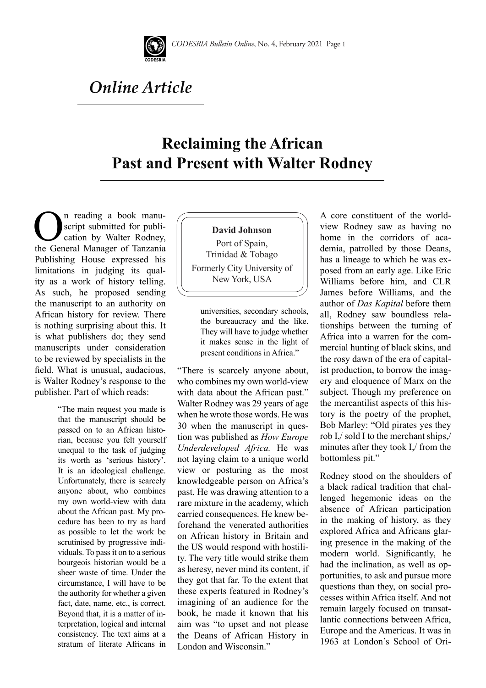

## *Online Article*

## **Reclaiming the African Past and Present with Walter Rodney**

On reading a book manu-<br>
script submitted for publi-<br>
cation by Walter Rodney,<br>
the General Manager of Tanzania script submitted for publication by Walter Rodney, Publishing House expressed his limitations in judging its quality as a work of history telling. As such, he proposed sending the manuscript to an authority on African history for review. There is nothing surprising about this. It is what publishers do; they send manuscripts under consideration to be reviewed by specialists in the field. What is unusual, audacious, is Walter Rodney's response to the publisher. Part of which reads:

> "The main request you made is that the manuscript should be passed on to an African historian, because you felt yourself unequal to the task of judging its worth as 'serious history'. It is an ideological challenge. Unfortunately, there is scarcely anyone about, who combines my own world-view with data about the African past. My procedure has been to try as hard as possible to let the work be scrutinised by progressive individuals. To pass it on to a serious bourgeois historian would be a sheer waste of time. Under the circumstance, I will have to be the authority for whether a given fact, date, name, etc., is correct. Beyond that, it is a matter of interpretation, logical and internal consistency. The text aims at a stratum of literate Africans in

**David Johnson** Port of Spain, Trinidad & Tobago Formerly City University of New York, USA

universities, secondary schools, the bureaucracy and the like. They will have to judge whether it makes sense in the light of present conditions in Africa."

"There is scarcely anyone about, who combines my own world-view with data about the African past." Walter Rodney was 29 years of age when he wrote those words. He was 30 when the manuscript in question was published as *How Europe Underdeveloped Africa.* He was not laying claim to a unique world view or posturing as the most knowledgeable person on Africa's past. He was drawing attention to a rare mixture in the academy, which carried consequences. He knew beforehand the venerated authorities on African history in Britain and the US would respond with hostility. The very title would strike them as heresy, never mind its content, if they got that far. To the extent that these experts featured in Rodney's imagining of an audience for the book, he made it known that his aim was "to upset and not please the Deans of African History in London and Wisconsin."

A core constituent of the worldview Rodney saw as having no home in the corridors of academia, patrolled by those Deans, has a lineage to which he was exposed from an early age. Like Eric Williams before him, and CLR James before Williams, and the author of *Das Kapital* before them all, Rodney saw boundless relationships between the turning of Africa into a warren for the commercial hunting of black skins, and the rosy dawn of the era of capitalist production, to borrow the imagery and eloquence of Marx on the subject. Though my preference on the mercantilist aspects of this history is the poetry of the prophet, Bob Marley: "Old pirates yes they rob I,/ sold I to the merchant ships,/ minutes after they took I,/ from the bottomless pit."

Rodney stood on the shoulders of a black radical tradition that challenged hegemonic ideas on the absence of African participation in the making of history, as they explored Africa and Africans glaring presence in the making of the modern world. Significantly, he had the inclination, as well as opportunities, to ask and pursue more questions than they, on social processes within Africa itself. And not remain largely focused on transatlantic connections between Africa, Europe and the Americas. It was in 1963 at London's School of Ori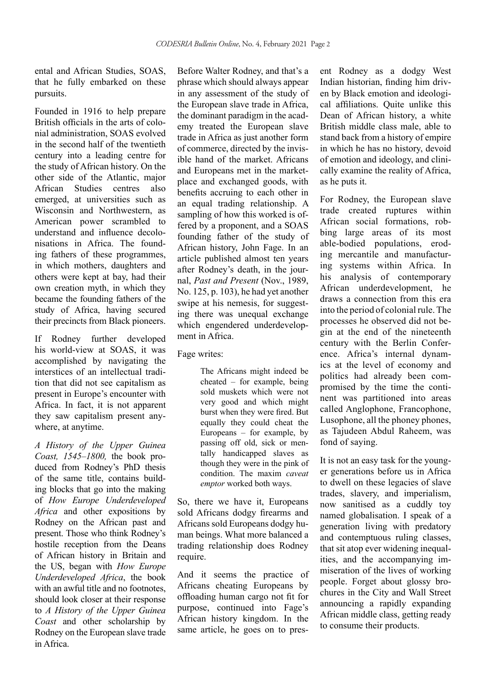ental and African Studies, SOAS, that he fully embarked on these pursuits.

Founded in 1916 to help prepare British officials in the arts of colonial administration, SOAS evolved in the second half of the twentieth century into a leading centre for the study of African history. On the other side of the Atlantic, major African Studies centres also emerged, at universities such as Wisconsin and Northwestern, as American power scrambled to understand and influence decolonisations in Africa. The founding fathers of these programmes, in which mothers, daughters and others were kept at bay, had their own creation myth, in which they became the founding fathers of the study of Africa, having secured their precincts from Black pioneers.

If Rodney further developed his world-view at SOAS, it was accomplished by navigating the interstices of an intellectual tradition that did not see capitalism as present in Europe's encounter with Africa. In fact, it is not apparent they saw capitalism present anywhere, at anytime.

*A History of the Upper Guinea Coast, 1545–1800,* the book produced from Rodney's PhD thesis of the same title, contains building blocks that go into the making of *How Europe Underdeveloped Africa* and other expositions by Rodney on the African past and present. Those who think Rodney's hostile reception from the Deans of African history in Britain and the US, began with *How Europe Underdeveloped Africa*, the book with an awful title and no footnotes. should look closer at their response to *A History of the Upper Guinea Coast* and other scholarship by Rodney on the European slave trade in Africa.

Before Walter Rodney, and that's a phrase which should always appear in any assessment of the study of the European slave trade in Africa, the dominant paradigm in the academy treated the European slave trade in Africa as just another form of commerce, directed by the invisible hand of the market. Africans and Europeans met in the marketplace and exchanged goods, with benefits accruing to each other in an equal trading relationship. A sampling of how this worked is offered by a proponent, and a SOAS founding father of the study of African history, John Fage. In an article published almost ten years after Rodney's death, in the journal, *Past and Present* (Nov., 1989, No. 125, p. 103), he had yet another swipe at his nemesis, for suggesting there was unequal exchange which engendered underdevelopment in Africa.

Fage writes:

The Africans might indeed be  $cheated - for example, being$ sold muskets which were not very good and which might burst when they were fired. But equally they could cheat the Europeans – for example, by passing off old, sick or mentally handicapped slaves as though they were in the pink of condition. The maxim *caveat emptor* worked both ways.

So, there we have it, Europeans sold Africans dodgy firearms and Africans sold Europeans dodgy human beings. What more balanced a trading relationship does Rodney require.

And it seems the practice of Africans cheating Europeans by offloading human cargo not fit for purpose, continued into Fage's African history kingdom. In the same article, he goes on to present Rodney as a dodgy West Indian historian, finding him driven by Black emotion and ideological affiliations. Quite unlike this Dean of African history, a white British middle class male, able to stand back from a history of empire in which he has no history, devoid of emotion and ideology, and clinically examine the reality of Africa, as he puts it.

For Rodney, the European slave trade created ruptures within African social formations, robbing large areas of its most able-bodied populations, eroding mercantile and manufacturing systems within Africa. In his analysis of contemporary African underdevelopment, he draws a connection from this era into the period of colonial rule. The processes he observed did not begin at the end of the nineteenth century with the Berlin Conference. Africa's internal dynamics at the level of economy and politics had already been compromised by the time the continent was partitioned into areas called Anglophone, Francophone, Lusophone, all the phoney phones, as Tajudeen Abdul Raheem, was fond of saying.

It is not an easy task for the younger generations before us in Africa to dwell on these legacies of slave trades, slavery, and imperialism, now sanitised as a cuddly toy named globalisation. I speak of a generation living with predatory and contemptuous ruling classes, that sit atop ever widening inequalities, and the accompanying immiseration of the lives of working people. Forget about glossy brochures in the City and Wall Street announcing a rapidly expanding African middle class, getting ready to consume their products.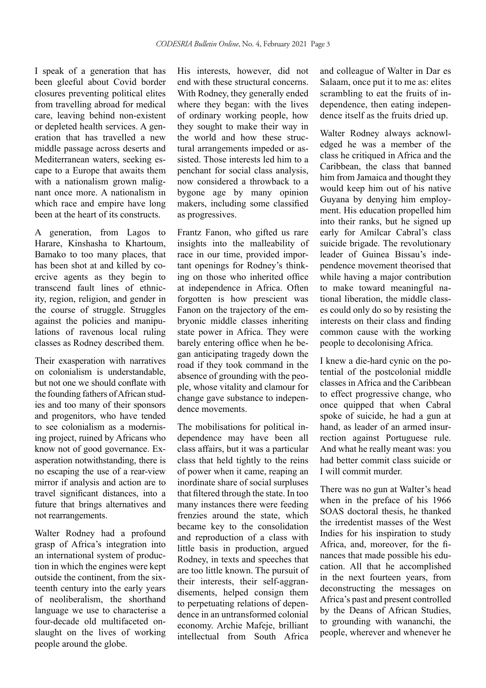I speak of a generation that has been gleeful about Covid border closures preventing political elites from travelling abroad for medical care, leaving behind non-existent or depleted health services. A generation that has travelled a new middle passage across deserts and Mediterranean waters, seeking escape to a Europe that awaits them with a nationalism grown malignant once more. A nationalism in which race and empire have long been at the heart of its constructs.

A generation, from Lagos to Harare, Kinshasha to Khartoum, Bamako to too many places, that has been shot at and killed by coercive agents as they begin to transcend fault lines of ethnicity, region, religion, and gender in the course of struggle. Struggles against the policies and manipulations of ravenous local ruling classes as Rodney described them.

Their exasperation with narratives on colonialism is understandable, but not one we should conflate with the founding fathers of African studies and too many of their sponsors and progenitors, who have tended to see colonialism as a modernising project, ruined by Africans who know not of good governance. Exasperation notwithstanding, there is no escaping the use of a rear-view mirror if analysis and action are to travel significant distances, into a future that brings alternatives and not rearrangements.

Walter Rodney had a profound grasp of Africa's integration into an international system of production in which the engines were kept outside the continent, from the sixteenth century into the early years of neoliberalism, the shorthand language we use to characterise a four-decade old multifaceted onslaught on the lives of working people around the globe.

His interests, however, did not end with these structural concerns. With Rodney, they generally ended where they began: with the lives of ordinary working people, how they sought to make their way in the world and how these structural arrangements impeded or assisted. Those interests led him to a penchant for social class analysis, now considered a throwback to a bygone age by many opinion makers, including some classified as progressives.

Frantz Fanon, who gifted us rare insights into the malleability of race in our time, provided important openings for Rodney's thinking on those who inherited office at independence in Africa. Often forgotten is how prescient was Fanon on the trajectory of the embryonic middle classes inheriting state power in Africa. They were barely entering office when he began anticipating tragedy down the road if they took command in the absence of grounding with the people, whose vitality and clamour for change gave substance to independence movements.

The mobilisations for political independence may have been all class affairs, but it was a particular class that held tightly to the reins of power when it came, reaping an inordinate share of social surpluses that filtered through the state. In too many instances there were feeding frenzies around the state, which became key to the consolidation and reproduction of a class with little basis in production, argued Rodney, in texts and speeches that are too little known. The pursuit of their interests, their self-aggrandisements, helped consign them to perpetuating relations of dependence in an untransformed colonial economy. Archie Mafeje, brilliant intellectual from South Africa and colleague of Walter in Dar es Salaam, once put it to me as: elites scrambling to eat the fruits of independence, then eating independence itself as the fruits dried up.

Walter Rodney always acknowledged he was a member of the class he critiqued in Africa and the Caribbean, the class that banned him from Jamaica and thought they would keep him out of his native Guyana by denying him employment. His education propelled him into their ranks, but he signed up early for Amilcar Cabral's class suicide brigade. The revolutionary leader of Guinea Bissau's independence movement theorised that while having a major contribution to make toward meaningful national liberation, the middle classes could only do so by resisting the interests on their class and finding common cause with the working people to decolonising Africa.

I knew a die-hard cynic on the potential of the postcolonial middle classes in Africa and the Caribbean to effect progressive change, who once quipped that when Cabral spoke of suicide, he had a gun at hand, as leader of an armed insurrection against Portuguese rule. And what he really meant was: you had better commit class suicide or I will commit murder.

There was no gun at Walter's head when in the preface of his 1966 SOAS doctoral thesis, he thanked the irredentist masses of the West Indies for his inspiration to study Africa, and, moreover, for the finances that made possible his education. All that he accomplished in the next fourteen years, from deconstructing the messages on Africa's past and present controlled by the Deans of African Studies, to grounding with wananchi, the people, wherever and whenever he